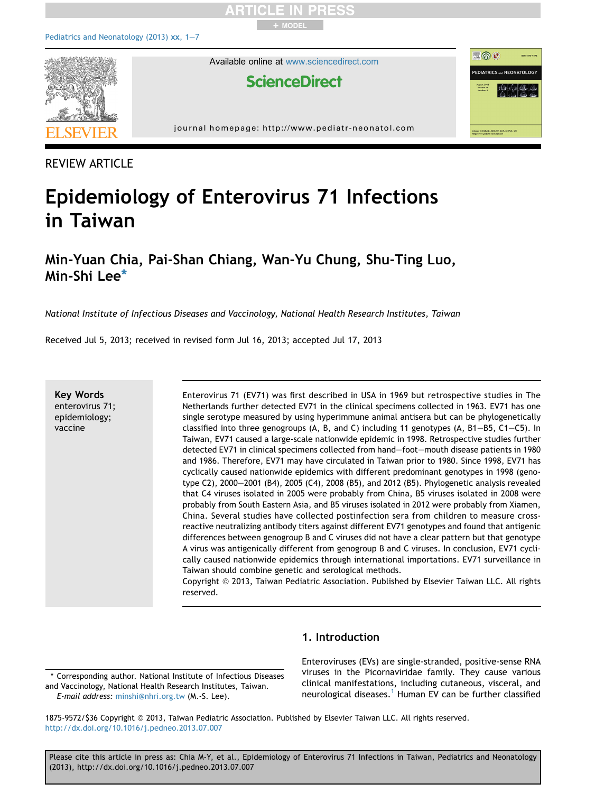

REVIEW ARTICLE

## Epidemiology of Enterovirus 71 Infections in Taiwan

### Min-Yuan Chia, Pai-Shan Chiang, Wan-Yu Chung, Shu-Ting Luo, Min-Shi Lee\*

National Institute of Infectious Diseases and Vaccinology, National Health Research Institutes, Taiwan

Received Jul 5, 2013; received in revised form Jul 16, 2013; accepted Jul 17, 2013

Key Words enterovirus 71; epidemiology; vaccine

Enterovirus 71 (EV71) was first described in USA in 1969 but retrospective studies in The Netherlands further detected EV71 in the clinical specimens collected in 1963. EV71 has one single serotype measured by using hyperimmune animal antisera but can be phylogenetically classified into three genogroups (A, B, and C) including 11 genotypes (A, B1-B5, C1-C5). In Taiwan, EV71 caused a large-scale nationwide epidemic in 1998. Retrospective studies further detected EV71 in clinical specimens collected from hand-foot-mouth disease patients in 1980 and 1986. Therefore, EV71 may have circulated in Taiwan prior to 1980. Since 1998, EV71 has cyclically caused nationwide epidemics with different predominant genotypes in 1998 (genotype C2), 2000-2001 (B4), 2005 (C4), 2008 (B5), and 2012 (B5). Phylogenetic analysis revealed that C4 viruses isolated in 2005 were probably from China, B5 viruses isolated in 2008 were probably from South Eastern Asia, and B5 viruses isolated in 2012 were probably from Xiamen, China. Several studies have collected postinfection sera from children to measure crossreactive neutralizing antibody titers against different EV71 genotypes and found that antigenic differences between genogroup B and C viruses did not have a clear pattern but that genotype A virus was antigenically different from genogroup B and C viruses. In conclusion, EV71 cyclically caused nationwide epidemics through international importations. EV71 surveillance in Taiwan should combine genetic and serological methods.

Copyright © 2013, Taiwan Pediatric Association. Published by Elsevier Taiwan LLC. All rights reserved.

#### 1. Introduction

\* Corresponding author. National Institute of Infectious Diseases and Vaccinology, National Health Research Institutes, Taiwan. E-mail address: [minshi@nhri.org.tw](mailto:minshi@nhri.org.tw) (M.-S. Lee).

Enteroviruses (EVs) are single-stranded, positive-sense RNA viruses in the Picornaviridae family. They cause various clinical manifestations, including cutaneous, visceral, and neurological diseases.<sup>1</sup> Human EV can be further classified

1875-9572/\$36 Copyright © 2013, Taiwan Pediatric Association. Published by Elsevier Taiwan LLC. All rights reserved. <http://dx.doi.org/10.1016/j.pedneo.2013.07.007>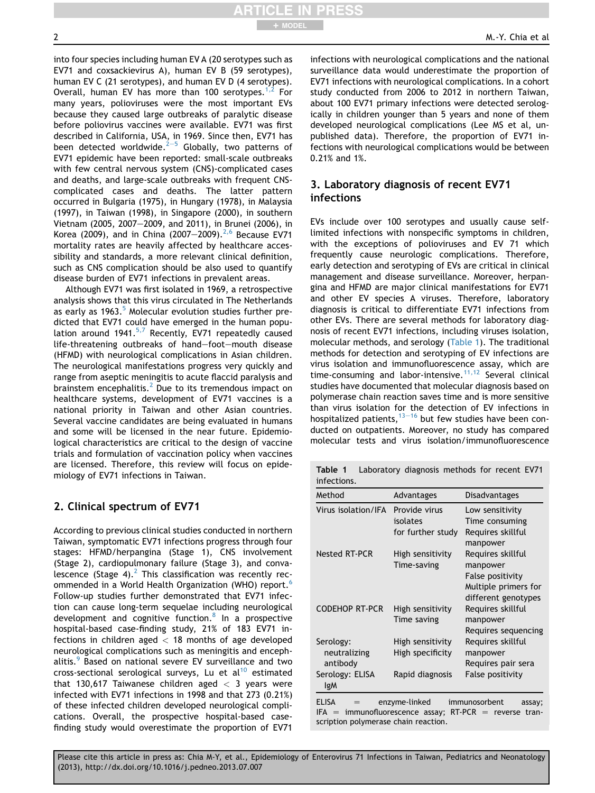into four species including human EV A (20 serotypes such as EV71 and coxsackievirus A), human EV B (59 serotypes), human EV C (21 serotypes), and human EV D (4 serotypes). Overall, human EV has more than 100 serotypes.<sup>[1,2](#page-5-0)</sup> For many years, polioviruses were the most important EVs because they caused large outbreaks of paralytic disease before poliovirus vaccines were available. EV71 was first described in California, USA, in 1969. Since then, EV71 has been detected worldwide.<sup>[2](#page-5-0)-[5](#page-5-0)</sup> Globally, two patterns of EV71 epidemic have been reported: small-scale outbreaks with few central nervous system (CNS)-complicated cases and deaths, and large-scale outbreaks with frequent CNS-

+ MODEL

complicated cases and deaths. The latter pattern occurred in Bulgaria (1975), in Hungary (1978), in Malaysia (1997), in Taiwan (1998), in Singapore (2000), in southern Vietnam (2005, 2007-2009, and 2011), in Brunei (2006), in Korea (2009), and in China (2007-2009).<sup>[2,6](#page-5-0)</sup> Because EV71 mortality rates are heavily affected by healthcare accessibility and standards, a more relevant clinical definition, such as CNS complication should be also used to quantify disease burden of EV71 infections in prevalent areas.

Although EV71 was first isolated in 1969, a retrospective analysis shows that this virus circulated in The Netherlands as early as  $1963<sup>5</sup>$  $1963<sup>5</sup>$  $1963<sup>5</sup>$  Molecular evolution studies further predicted that EV71 could have emerged in the human population around 1941. $5.7$  Recently, EV71 repeatedly caused life-threatening outbreaks of hand-foot-mouth disease (HFMD) with neurological complications in Asian children. The neurological manifestations progress very quickly and range from aseptic meningitis to acute flaccid paralysis and brainstem encephalitis.<sup>[2](#page-5-0)</sup> Due to its tremendous impact on healthcare systems, development of EV71 vaccines is a national priority in Taiwan and other Asian countries. Several vaccine candidates are being evaluated in humans and some will be licensed in the near future. Epidemiological characteristics are critical to the design of vaccine trials and formulation of vaccination policy when vaccines are licensed. Therefore, this review will focus on epidemiology of EV71 infections in Taiwan.

#### 2. Clinical spectrum of EV71

According to previous clinical studies conducted in northern Taiwan, symptomatic EV71 infections progress through four stages: HFMD/herpangina (Stage 1), CNS involvement (Stage 2), cardiopulmonary failure (Stage 3), and convalescence (Stage 4). $^2$  $^2$  This classification was recently rec-ommended in a World Health Organization (WHO) report.<sup>[6](#page-5-0)</sup> Follow-up studies further demonstrated that EV71 infection can cause long-term sequelae including neurological development and cognitive function.<sup>[8](#page-6-0)</sup> In a prospective hospital-based case-finding study, 21% of 183 EV71 infections in children aged  $<$  18 months of age developed neurological complications such as meningitis and enceph-alitis.<sup>[9](#page-6-0)</sup> Based on national severe EV surveillance and two  $cross-sectional$  serological surveys, Lu et al $10$  estimated that 130,617 Taiwanese children aged  $<$  3 years were infected with EV71 infections in 1998 and that 273 (0.21%) of these infected children developed neurological complications. Overall, the prospective hospital-based casefinding study would overestimate the proportion of EV71 infections with neurological complications and the national surveillance data would underestimate the proportion of EV71 infections with neurological complications. In a cohort study conducted from 2006 to 2012 in northern Taiwan, about 100 EV71 primary infections were detected serologically in children younger than 5 years and none of them developed neurological complications (Lee MS et al, unpublished data). Therefore, the proportion of EV71 infections with neurological complications would be between 0.21% and 1%.

#### 3. Laboratory diagnosis of recent EV71 infections

EVs include over 100 serotypes and usually cause selflimited infections with nonspecific symptoms in children, with the exceptions of polioviruses and EV 71 which frequently cause neurologic complications. Therefore, early detection and serotyping of EVs are critical in clinical management and disease surveillance. Moreover, herpangina and HFMD are major clinical manifestations for EV71 and other EV species A viruses. Therefore, laboratory diagnosis is critical to differentiate EV71 infections from other EVs. There are several methods for laboratory diagnosis of recent EV71 infections, including viruses isolation, molecular methods, and serology (Table 1). The traditional methods for detection and serotyping of EV infections are virus isolation and immunofluorescence assay, which are time-consuming and labor-intensive.<sup>[11,12](#page-6-0)</sup> Several clinical studies have documented that molecular diagnosis based on polymerase chain reaction saves time and is more sensitive than virus isolation for the detection of EV infections in hospitalized patients, $13-16$  $13-16$  $13-16$  but few studies have been conducted on outpatients. Moreover, no study has compared molecular tests and virus isolation/immunofluorescence

|             | <b>Table 1</b> Laboratory diagnosis methods for recent EV71 |  |  |  |
|-------------|-------------------------------------------------------------|--|--|--|
| infections. |                                                             |  |  |  |

| Method                | Advantages        | Disadvantages           |  |  |
|-----------------------|-------------------|-------------------------|--|--|
| Virus isolation/IFA   | Provide virus     | Low sensitivity         |  |  |
|                       | isolates          | Time consuming          |  |  |
|                       | for further study | Requires skillful       |  |  |
|                       |                   | manpower                |  |  |
| Nested RT-PCR         | High sensitivity  | Requires skillful       |  |  |
|                       | Time-saving       | manpower                |  |  |
|                       |                   | False positivity        |  |  |
|                       |                   | Multiple primers for    |  |  |
|                       |                   | different genotypes     |  |  |
| <b>CODEHOP RT-PCR</b> | High sensitivity  | Requires skillful       |  |  |
|                       | Time saving       | manpower                |  |  |
|                       |                   | Requires sequencing     |  |  |
| Serology:             | High sensitivity  | Requires skillful       |  |  |
| neutralizing          | High specificity  | manpower                |  |  |
| antibody              |                   | Requires pair sera      |  |  |
| Serology: ELISA       | Rapid diagnosis   | False positivity        |  |  |
| IgM                   |                   |                         |  |  |
| <b>ELISA</b>          | enzyme-linked     | immunosorbent<br>assay; |  |  |

scription polymerase chain reaction.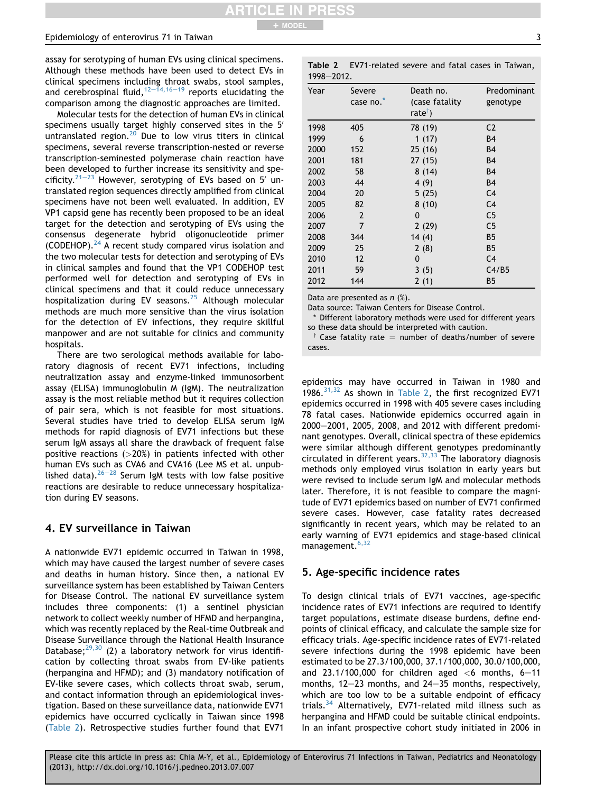#### <span id="page-2-0"></span>Epidemiology of enterovirus 71 in Taiwan 3

assay for serotyping of human EVs using clinical specimens. Although these methods have been used to detect EVs in clinical specimens including throat swabs, stool samples, and cerebrospinal fluid, $12-14,16-19$  $12-14,16-19$  $12-14,16-19$  $12-14,16-19$  $12-14,16-19$  reports elucidating the comparison among the diagnostic approaches are limited.

Molecular tests for the detection of human EVs in clinical specimens usually target highly conserved sites in the  $5'$ untranslated region.[20](#page-6-0) Due to low virus titers in clinical specimens, several reverse transcription-nested or reverse transcription-seminested polymerase chain reaction have been developed to further increase its sensitivity and spe-cificity.<sup>21-[23](#page-6-0)</sup> However, serotyping of EVs based on 5<sup>'</sup> untranslated region sequences directly amplified from clinical specimens have not been well evaluated. In addition, EV VP1 capsid gene has recently been proposed to be an ideal target for the detection and serotyping of EVs using the consensus degenerate hybrid oligonucleotide primer (CODEHOP). $^{24}$  $^{24}$  $^{24}$  A recent study compared virus isolation and the two molecular tests for detection and serotyping of EVs in clinical samples and found that the VP1 CODEHOP test performed well for detection and serotyping of EVs in clinical specimens and that it could reduce unnecessary hospitalization during EV seasons.<sup>[25](#page-6-0)</sup> Although molecular methods are much more sensitive than the virus isolation for the detection of EV infections, they require skillful manpower and are not suitable for clinics and community hospitals.

There are two serological methods available for laboratory diagnosis of recent EV71 infections, including neutralization assay and enzyme-linked immunosorbent assay (ELISA) immunoglobulin M (IgM). The neutralization assay is the most reliable method but it requires collection of pair sera, which is not feasible for most situations. Several studies have tried to develop ELISA serum IgM methods for rapid diagnosis of EV71 infections but these serum IgM assays all share the drawback of frequent false positive reactions  $(>20%)$  in patients infected with other human EVs such as CVA6 and CVA16 (Lee MS et al. unpublished data). $26-28$  $26-28$  $26-28$  Serum IgM tests with low false positive reactions are desirable to reduce unnecessary hospitalization during EV seasons.

#### 4. EV surveillance in Taiwan

A nationwide EV71 epidemic occurred in Taiwan in 1998, which may have caused the largest number of severe cases and deaths in human history. Since then, a national EV surveillance system has been established by Taiwan Centers for Disease Control. The national EV surveillance system includes three components: (1) a sentinel physician network to collect weekly number of HFMD and herpangina, which was recently replaced by the Real-time Outbreak and Disease Surveillance through the National Health Insurance Database; $29,30$  (2) a laboratory network for virus identification by collecting throat swabs from EV-like patients (herpangina and HFMD); and (3) mandatory notification of EV-like severe cases, which collects throat swab, serum, and contact information through an epidemiological investigation. Based on these surveillance data, nationwide EV71 epidemics have occurred cyclically in Taiwan since 1998 (Table 2). Retrospective studies further found that EV71

|            | <b>Table 2</b> EV71-related severe and fatal cases in Taiwan, |  |  |  |
|------------|---------------------------------------------------------------|--|--|--|
| 1998-2012. |                                                               |  |  |  |

| Year | Severe         | Death no.           | Predominant    |
|------|----------------|---------------------|----------------|
|      | case no.*      | (case fatality      | genotype       |
|      |                | rate <sup>†</sup> ) |                |
| 1998 | 405            | 78 (19)             | C <sub>2</sub> |
| 1999 | 6              | 1(17)               | B <sub>4</sub> |
| 2000 | 152            | 25(16)              | <b>B4</b>      |
| 2001 | 181            | 27(15)              | <b>B4</b>      |
| 2002 | 58             | 8(14)               | B4             |
| 2003 | 44             | 4(9)                | <b>B4</b>      |
| 2004 | 20             | 5(25)               | C <sub>4</sub> |
| 2005 | 82             | 8(10)               | C <sub>4</sub> |
| 2006 | $\overline{2}$ | 0                   | C <sub>5</sub> |
| 2007 | 7              | 2(29)               | C <sub>5</sub> |
| 2008 | 344            | 14(4)               | <b>B5</b>      |
| 2009 | 25             | 2(8)                | B <sub>5</sub> |
| 2010 | 12             | 0                   | C <sub>4</sub> |
| 2011 | 59             | 3(5)                | C4/B5          |
| 2012 | 144            | 2(1)                | <b>B5</b>      |

Data are presented as  $n$  (%).

Data source: Taiwan Centers for Disease Control.

\* Different laboratory methods were used for different years so these data should be interpreted with caution.

 $\dagger$  Case fatality rate  $=$  number of deaths/number of severe cases.

epidemics may have occurred in Taiwan in 1980 and 1986. $31,32$  As shown in Table 2, the first recognized EV71 epidemics occurred in 1998 with 405 severe cases including 78 fatal cases. Nationwide epidemics occurred again in 2000-2001, 2005, 2008, and 2012 with different predominant genotypes. Overall, clinical spectra of these epidemics were similar although different genotypes predominantly circulated in different years.  $32,33$  The laboratory diagnosis methods only employed virus isolation in early years but were revised to include serum IgM and molecular methods later. Therefore, it is not feasible to compare the magnitude of EV71 epidemics based on number of EV71 confirmed severe cases. However, case fatality rates decreased significantly in recent years, which may be related to an early warning of EV71 epidemics and stage-based clinical management.<sup>[6,32](#page-5-0)</sup>

#### 5. Age-specific incidence rates

To design clinical trials of EV71 vaccines, age-specific incidence rates of EV71 infections are required to identify target populations, estimate disease burdens, define endpoints of clinical efficacy, and calculate the sample size for efficacy trials. Age-specific incidence rates of EV71-related severe infections during the 1998 epidemic have been estimated to be 27.3/100,000, 37.1/100,000, 30.0/100,000, and  $23.1/100,000$  for children aged  $<$  6 months, 6-11 months,  $12-23$  months, and  $24-35$  months, respectively, which are too low to be a suitable endpoint of efficacy trials.[34](#page-6-0) Alternatively, EV71-related mild illness such as herpangina and HFMD could be suitable clinical endpoints. In an infant prospective cohort study initiated in 2006 in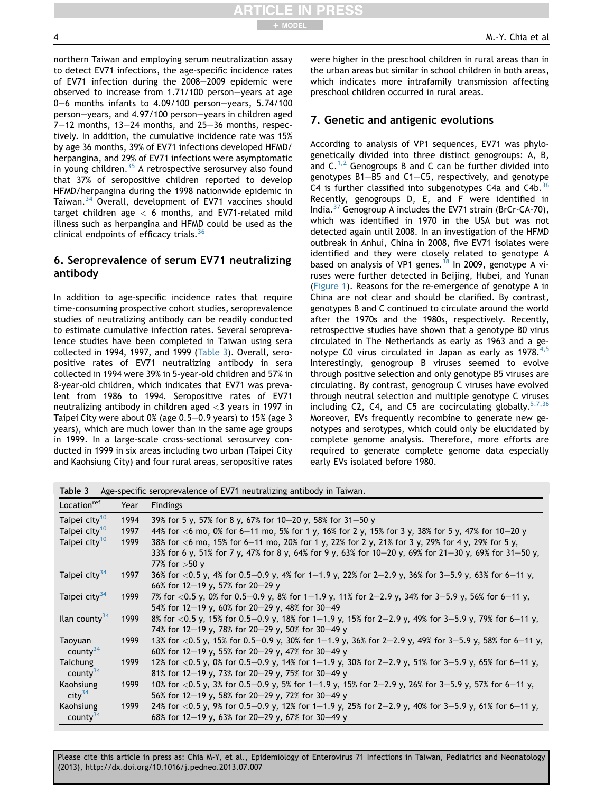northern Taiwan and employing serum neutralization assay to detect EV71 infections, the age-specific incidence rates of EV71 infection during the  $2008-2009$  epidemic were observed to increase from  $1.71/100$  person-vears at age 0-6 months infants to  $4.09/100$  person-years,  $5.74/100$ person-years, and 4.97/100 person-years in children aged  $7-12$  months, 13-24 months, and 25-36 months, respectively. In addition, the cumulative incidence rate was 15% by age 36 months, 39% of EV71 infections developed HFMD/ herpangina, and 29% of EV71 infections were asymptomatic in young children. $35$  A retrospective serosurvey also found that 37% of seropositive children reported to develop HFMD/herpangina during the 1998 nationwide epidemic in Taiwan.<sup>[34](#page-6-0)</sup> Overall, development of EV71 vaccines should target children age  $<$  6 months, and EV71-related mild illness such as herpangina and HFMD could be used as the clinical endpoints of efficacy trials.  $36$ 

#### 6. Seroprevalence of serum EV71 neutralizing antibody

In addition to age-specific incidence rates that require time-consuming prospective cohort studies, seroprevalence studies of neutralizing antibody can be readily conducted to estimate cumulative infection rates. Several seroprevalence studies have been completed in Taiwan using sera collected in 1994, 1997, and 1999 (Table 3). Overall, seropositive rates of EV71 neutralizing antibody in sera collected in 1994 were 39% in 5-year-old children and 57% in 8-year-old children, which indicates that EV71 was prevalent from 1986 to 1994. Seropositive rates of EV71 neutralizing antibody in children aged  $<$ 3 years in 1997 in Taipei City were about  $0\%$  (age  $0.5-0.9$  years) to 15% (age 3 years), which are much lower than in the same age groups in 1999. In a large-scale cross-sectional serosurvey conducted in 1999 in six areas including two urban (Taipei City and Kaohsiung City) and four rural areas, seropositive rates were higher in the preschool children in rural areas than in the urban areas but similar in school children in both areas, which indicates more intrafamily transmission affecting preschool children occurred in rural areas.

#### 7. Genetic and antigenic evolutions

According to analysis of VP1 sequences, EV71 was phylogenetically divided into three distinct genogroups: A, B, and  $C^{1,2}$  $C^{1,2}$  $C^{1,2}$  Genogroups B and C can be further divided into genotypes  $B1-B5$  and  $C1-C5$ , respectively, and genotype C4 is further classified into subgenotypes C4a and C4b. $36$ Recently, genogroups D, E, and F were identified in India.[37](#page-6-0) Genogroup A includes the EV71 strain (BrCr-CA-70), which was identified in 1970 in the USA but was not detected again until 2008. In an investigation of the HFMD outbreak in Anhui, China in 2008, five EV71 isolates were identified and they were closely related to genotype A based on analysis of VP1 genes.<sup>[38](#page-6-0)</sup> In 2009, genotype A viruses were further detected in Beijing, Hubei, and Yunan [\(Figure 1\)](#page-4-0). Reasons for the re-emergence of genotype A in China are not clear and should be clarified. By contrast, genotypes B and C continued to circulate around the world after the 1970s and the 1980s, respectively. Recently, retrospective studies have shown that a genotype B0 virus circulated in The Netherlands as early as 1963 and a genotype C0 virus circulated in Japan as early as  $1978.^{4,5}$  $1978.^{4,5}$  $1978.^{4,5}$ Interestingly, genogroup B viruses seemed to evolve through positive selection and only genotype B5 viruses are circulating. By contrast, genogroup C viruses have evolved through neutral selection and multiple genotype C viruses including C2, C4, and C5 are cocirculating globally.<sup>[5,7,36](#page-5-0)</sup> Moreover, EVs frequently recombine to generate new genotypes and serotypes, which could only be elucidated by complete genome analysis. Therefore, more efforts are required to generate complete genome data especially early EVs isolated before 1980.

|                           |      | <b>Table 3</b> Age-specific seroprevalence of EV71 neutralizing antibody in Taiwan.                    |
|---------------------------|------|--------------------------------------------------------------------------------------------------------|
| Location <sup>ref</sup>   | Year | <b>Findings</b>                                                                                        |
| Taipei city <sup>10</sup> | 1994 | 39% for 5 y, 57% for 8 y, 67% for 10-20 y, 58% for 31-50 y                                             |
| Taipei city <sup>10</sup> | 1997 | 44% for $<$ 6 mo, 0% for 6–11 mo, 5% for 1 y, 16% for 2 y, 15% for 3 y, 38% for 5 y, 47% for 10–20 y   |
| Taipei city <sup>10</sup> | 1999 | 38% for <6 mo, 15% for 6–11 mo, 20% for 1 y, 22% for 2 y, 21% for 3 y, 29% for 4 y, 29% for 5 y,       |
|                           |      | 33% for 6 y, 51% for 7 y, 47% for 8 y, 64% for 9 y, 63% for 10–20 y, 69% for 21–30 y, 69% for 31–50 y, |
|                           |      | 77% for $>50$ y                                                                                        |
| Taipei city <sup>34</sup> | 1997 | 36% for <0.5 y, 4% for 0.5–0.9 y, 4% for 1–1.9 y, 22% for 2–2.9 y, 36% for 3–5.9 y, 63% for 6–11 y,    |
|                           |      | 66% for 12-19 y, 57% for 20-29 y                                                                       |
| Taipei city <sup>34</sup> | 1999 | 7% for <0.5 y, 0% for 0.5–0.9 y, 8% for 1–1.9 y, 11% for 2–2.9 y, 34% for 3–5.9 y, 56% for 6–11 y,     |
|                           |      | 54% for 12-19 y, 60% for 20-29 y, 48% for 30-49                                                        |
| llan county <sup>34</sup> | 1999 | 8% for <0.5 y, 15% for 0.5–0.9 y, 18% for 1–1.9 y, 15% for 2–2.9 y, 49% for 3–5.9 y, 79% for 6–11 y,   |
|                           |      | 74% for 12-19 y, 78% for 20-29 y, 50% for 30-49 y                                                      |
| Taoyuan                   | 1999 | 13% for <0.5 y, 15% for 0.5–0.9 y, 30% for 1–1.9 y, 36% for 2–2.9 y, 49% for 3–5.9 y, 58% for 6–11 y,  |
| county $34$               |      | 60% for 12-19 y, 55% for 20-29 y, 47% for 30-49 y                                                      |
| Taichung                  | 1999 | 12% for <0.5 y, 0% for 0.5–0.9 y, 14% for 1–1.9 y, 30% for 2–2.9 y, 51% for 3–5.9 y, 65% for 6–11 y,   |
| county $34$               |      | 81% for 12-19 y, 73% for 20-29 y, 75% for 30-49 y                                                      |
| Kaohsiung                 | 1999 | 10% for $<$ 0.5 y, 3% for 0.5–0.9 y, 5% for 1–1.9 y, 15% for 2–2.9 y, 26% for 3–5.9 y, 57% for 6–11 y, |
| city <sup>34</sup>        |      | 56% for 12-19 y, 58% for 20-29 y, 72% for 30-49 y                                                      |
| Kaohsiung                 | 1999 | 24% for <0.5 y, 9% for 0.5–0.9 y, 12% for 1–1.9 y, 25% for 2–2.9 y, 40% for 3–5.9 y, 61% for 6–11 y,   |
| county $34$               |      | 68% for 12-19 y, 63% for 20-29 y, 67% for 30-49 y                                                      |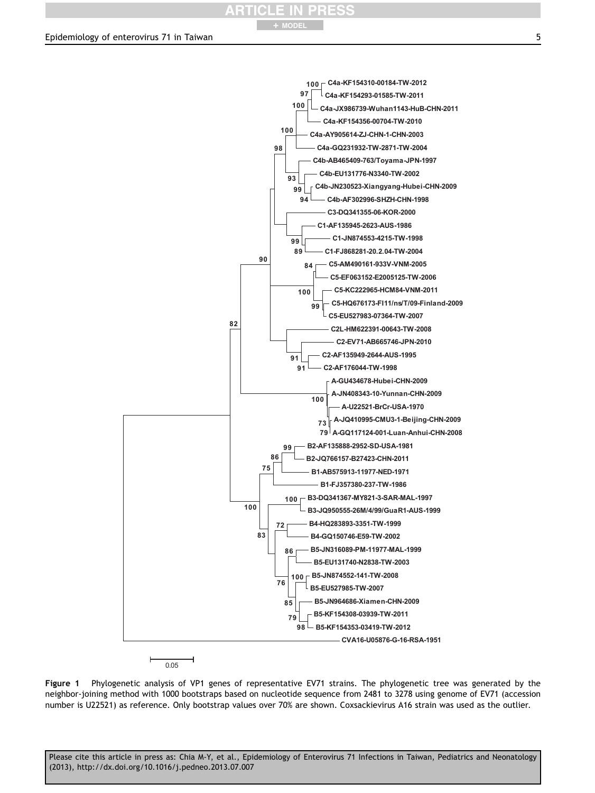# + MODEL

#### <span id="page-4-0"></span>Epidemiology of enterovirus 71 in Taiwan 5



 $0.05$ 

Figure 1 Phylogenetic analysis of VP1 genes of representative EV71 strains. The phylogenetic tree was generated by the neighbor-joining method with 1000 bootstraps based on nucleotide sequence from 2481 to 3278 using genome of EV71 (accession number is U22521) as reference. Only bootstrap values over 70% are shown. Coxsackievirus A16 strain was used as the outlier.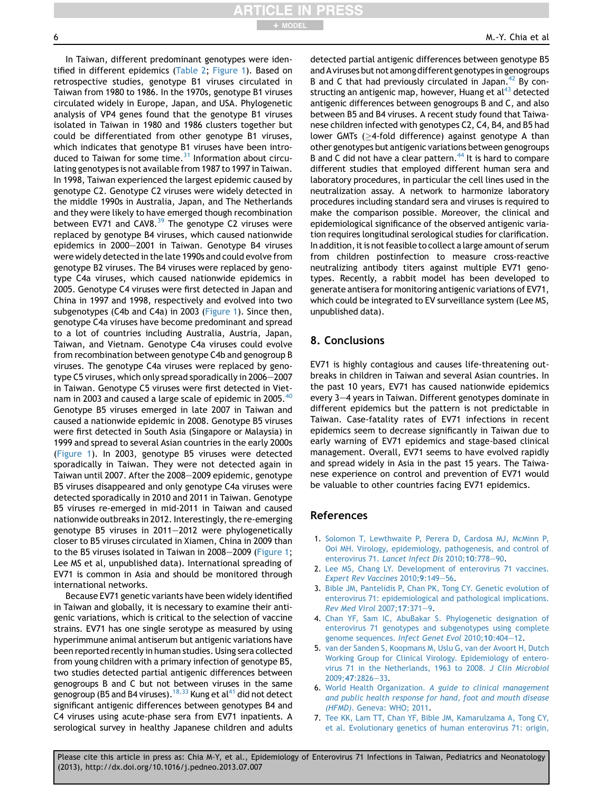<span id="page-5-0"></span>

+ MODEL

In Taiwan, different predominant genotypes were identified in different epidemics [\(Table 2](#page-2-0); [Figure 1](#page-4-0)). Based on retrospective studies, genotype B1 viruses circulated in Taiwan from 1980 to 1986. In the 1970s, genotype B1 viruses circulated widely in Europe, Japan, and USA. Phylogenetic analysis of VP4 genes found that the genotype B1 viruses isolated in Taiwan in 1980 and 1986 clusters together but could be differentiated from other genotype B1 viruses, which indicates that genotype B1 viruses have been introduced to Taiwan for some time. $31$  Information about circulating genotypes is not available from 1987 to 1997 in Taiwan. In 1998, Taiwan experienced the largest epidemic caused by genotype C2. Genotype C2 viruses were widely detected in the middle 1990s in Australia, Japan, and The Netherlands and they were likely to have emerged though recombination between EV71 and CAV8. $^{39}$  $^{39}$  $^{39}$  The genotype C2 viruses were replaced by genotype B4 viruses, which caused nationwide epidemics in 2000-2001 in Taiwan. Genotype B4 viruses were widely detected in the late 1990s and could evolve from genotype B2 viruses. The B4 viruses were replaced by genotype C4a viruses, which caused nationwide epidemics in 2005. Genotype C4 viruses were first detected in Japan and China in 1997 and 1998, respectively and evolved into two subgenotypes (C4b and C4a) in 2003 [\(Figure 1\)](#page-4-0). Since then, genotype C4a viruses have become predominant and spread to a lot of countries including Australia, Austria, Japan, Taiwan, and Vietnam. Genotype C4a viruses could evolve from recombination between genotype C4b and genogroup B viruses. The genotype C4a viruses were replaced by genotype C5 viruses, which only spread sporadically in 2006-2007 in Taiwan. Genotype C5 viruses were first detected in Viet-nam in 2003 and caused a large scale of epidemic in 2005.<sup>[40](#page-6-0)</sup> Genotype B5 viruses emerged in late 2007 in Taiwan and caused a nationwide epidemic in 2008. Genotype B5 viruses were first detected in South Asia (Singapore or Malaysia) in 1999 and spread to several Asian countries in the early 2000s [\(Figure 1\)](#page-4-0). In 2003, genotype B5 viruses were detected sporadically in Taiwan. They were not detected again in Taiwan until 2007. After the 2008-2009 epidemic, genotype B5 viruses disappeared and only genotype C4a viruses were detected sporadically in 2010 and 2011 in Taiwan. Genotype B5 viruses re-emerged in mid-2011 in Taiwan and caused nationwide outbreaks in 2012. Interestingly, the re-emerging genotype B5 viruses in  $2011-2012$  were phylogenetically closer to B5 viruses circulated in Xiamen, China in 2009 than to the B5 viruses isolated in Taiwan in 2008–2009 [\(Figure 1;](#page-4-0) Lee MS et al, unpublished data). International spreading of EV71 is common in Asia and should be monitored through international networks.

Because EV71 genetic variants have been widely identified in Taiwan and globally, it is necessary to examine their antigenic variations, which is critical to the selection of vaccine strains. EV71 has one single serotype as measured by using hyperimmune animal antiserum but antigenic variations have been reported recently in human studies. Using sera collected from young children with a primary infection of genotype B5, two studies detected partial antigenic differences between genogroups B and C but not between viruses in the same genogroup (B5 and B4 viruses).  $18,33$  Kung et al<sup>41</sup> did not detect significant antigenic differences between genotypes B4 and C4 viruses using acute-phase sera from EV71 inpatients. A serological survey in healthy Japanese children and adults detected partial antigenic differences between genotype B5 and Aviruses but not among different genotypesin genogroups B and C that had previously circulated in Japan. $42$  By constructing an antigenic map, however, Huang et  $al^{43}$  $al^{43}$  $al^{43}$  detected antigenic differences between genogroups B and C, and also between B5 and B4 viruses. A recent study found that Taiwanese children infected with genotypes C2, C4, B4, and B5 had lower GMTs ( $\geq$ 4-fold difference) against genotype A than other genotypes but antigenic variations between genogroups B and C did not have a clear pattern.<sup>[44](#page-6-0)</sup> It is hard to compare different studies that employed different human sera and laboratory procedures, in particular the cell lines used in the neutralization assay. A network to harmonize laboratory procedures including standard sera and viruses is required to make the comparison possible. Moreover, the clinical and epidemiological significance of the observed antigenic variation requires longitudinal serological studies for clarification. In addition, it is not feasible to collect a large amount of serum from children postinfection to measure cross-reactive neutralizing antibody titers against multiple EV71 genotypes. Recently, a rabbit model has been developed to generate antisera for monitoring antigenic variations of EV71, which could be integrated to EV surveillance system (Lee MS, unpublished data).

#### 8. Conclusions

EV71 is highly contagious and causes life-threatening outbreaks in children in Taiwan and several Asian countries. In the past 10 years, EV71 has caused nationwide epidemics every 3-4 years in Taiwan. Different genotypes dominate in different epidemics but the pattern is not predictable in Taiwan. Case-fatality rates of EV71 infections in recent epidemics seem to decrease significantly in Taiwan due to early warning of EV71 epidemics and stage-based clinical management. Overall, EV71 seems to have evolved rapidly and spread widely in Asia in the past 15 years. The Taiwanese experience on control and prevention of EV71 would be valuable to other countries facing EV71 epidemics.

#### References

- 1. [Solomon T, Lewthwaite P, Perera D, Cardosa MJ, McMinn P,](http://refhub.elsevier.com/S1875-9572(13)00139-3/sref1) [Ooi MH. Virology, epidemiology, pathogenesis, and control of](http://refhub.elsevier.com/S1875-9572(13)00139-3/sref1) enterovirus 71. [Lancet Infect Dis](http://refhub.elsevier.com/S1875-9572(13)00139-3/sref1) 2010;10:778-[90.](http://refhub.elsevier.com/S1875-9572(13)00139-3/sref1)
- 2. [Lee MS, Chang LY. Development of enterovirus 71 vaccines.](http://refhub.elsevier.com/S1875-9572(13)00139-3/sref2) [Expert Rev Vaccines](http://refhub.elsevier.com/S1875-9572(13)00139-3/sref2) 2010;9:149-[56](http://refhub.elsevier.com/S1875-9572(13)00139-3/sref2).
- 3. [Bible JM, Pantelidis P, Chan PK, Tong CY. Genetic evolution of](http://refhub.elsevier.com/S1875-9572(13)00139-3/sref3) [enterovirus 71: epidemiological and pathological implications.](http://refhub.elsevier.com/S1875-9572(13)00139-3/sref3) [Rev Med Virol](http://refhub.elsevier.com/S1875-9572(13)00139-3/sref3) 2007;17:371-[9.](http://refhub.elsevier.com/S1875-9572(13)00139-3/sref3)
- 4. [Chan YF, Sam IC, AbuBakar S. Phylogenetic designation of](http://refhub.elsevier.com/S1875-9572(13)00139-3/sref4) [enterovirus 71 genotypes and subgenotypes using complete](http://refhub.elsevier.com/S1875-9572(13)00139-3/sref4) [genome sequences.](http://refhub.elsevier.com/S1875-9572(13)00139-3/sref4) Infect Genet Evol 2010;10:404-[12](http://refhub.elsevier.com/S1875-9572(13)00139-3/sref4).
- 5. [van der Sanden S, Koopmans M, Uslu G, van der Avoort H, Dutch](http://refhub.elsevier.com/S1875-9572(13)00139-3/sref5) [Working Group for Clinical Virology. Epidemiology of entero](http://refhub.elsevier.com/S1875-9572(13)00139-3/sref5)[virus 71 in the Netherlands, 1963 to 2008.](http://refhub.elsevier.com/S1875-9572(13)00139-3/sref5) J Clin Microbiol  $2009:47:2826 - 33.$  $2009:47:2826 - 33.$  $2009:47:2826 - 33.$  $2009:47:2826 - 33.$  $2009:47:2826 - 33.$
- 6. World Health Organization. [A guide to clinical management](http://refhub.elsevier.com/S1875-9572(13)00139-3/sref6) [and public health response for hand, foot and mouth disease](http://refhub.elsevier.com/S1875-9572(13)00139-3/sref6) (HFMD)[. Geneva: WHO; 2011](http://refhub.elsevier.com/S1875-9572(13)00139-3/sref6).
- 7. [Tee KK, Lam TT, Chan YF, Bible JM, Kamarulzama A, Tong CY,](http://refhub.elsevier.com/S1875-9572(13)00139-3/sref7) [et al. Evolutionary genetics of human enterovirus 71: origin,](http://refhub.elsevier.com/S1875-9572(13)00139-3/sref7)